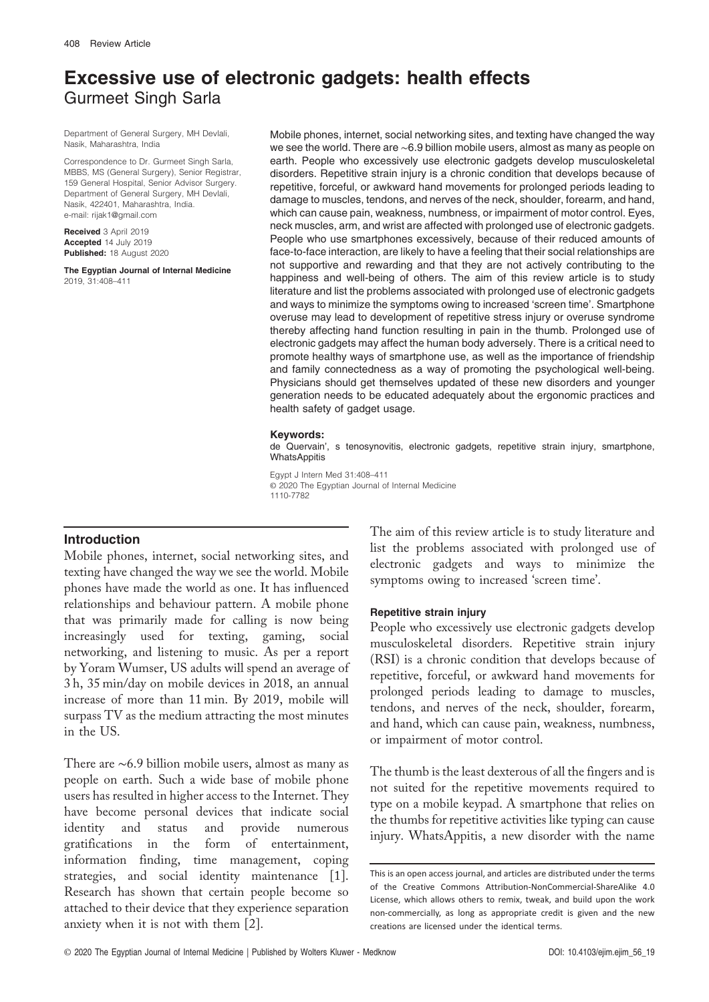# Excessive use of electronic gadgets: health effects Gurmeet Singh Sarla

Department of General Surgery, MH Devlali, Nasik, Maharashtra, India

Correspondence to Dr. Gurmeet Singh Sarla MBBS, MS (General Surgery), Senior Registrar, 159 General Hospital, Senior Advisor Surgery. Department of General Surgery, MH Devlali, Nasik, 422401, Maharashtra, India. e-mail: [rijak1@gmail.com](mailto:rijak1@gmail.com)

Received 3 April 2019 Accepted 14 July 2019 Published: 18 August 2020

The Egyptian Journal of Internal Medicine 2019, 31:408–411

Mobile phones, internet, social networking sites, and texting have changed the way we see the world. There are ∼6.9 billion mobile users, almost as many as people on earth. People who excessively use electronic gadgets develop musculoskeletal disorders. Repetitive strain injury is a chronic condition that develops because of repetitive, forceful, or awkward hand movements for prolonged periods leading to damage to muscles, tendons, and nerves of the neck, shoulder, forearm, and hand, which can cause pain, weakness, numbness, or impairment of motor control. Eyes, neck muscles, arm, and wrist are affected with prolonged use of electronic gadgets. People who use smartphones excessively, because of their reduced amounts of face-to-face interaction, are likely to have a feeling that their social relationships are not supportive and rewarding and that they are not actively contributing to the happiness and well-being of others. The aim of this review article is to study literature and list the problems associated with prolonged use of electronic gadgets and ways to minimize the symptoms owing to increased 'screen time'. Smartphone overuse may lead to development of repetitive stress injury or overuse syndrome thereby affecting hand function resulting in pain in the thumb. Prolonged use of electronic gadgets may affect the human body adversely. There is a critical need to promote healthy ways of smartphone use, as well as the importance of friendship and family connectedness as a way of promoting the psychological well-being. Physicians should get themselves updated of these new disorders and younger generation needs to be educated adequately about the ergonomic practices and health safety of gadget usage.

#### Keywords:

de Quervain', s tenosynovitis, electronic gadgets, repetitive strain injury, smartphone, **WhatsAppitis** 

Egypt J Intern Med 31:408–411 © 2020 The Egyptian Journal of Internal Medicine 1110-7782

# Introduction

Mobile phones, internet, social networking sites, and texting have changed the way we see the world. Mobile phones have made the world as one. It has influenced relationships and behaviour pattern. A mobile phone that was primarily made for calling is now being increasingly used for texting, gaming, social networking, and listening to music. As per a report by Yoram Wumser, US adults will spend an average of 3 h, 35 min/day on mobile devices in 2018, an annual increase of more than 11 min. By 2019, mobile will surpass TV as the medium attracting the most minutes in the US.

There are ∼6.9 billion mobile users, almost as many as people on earth. Such a wide base of mobile phone users has resulted in higher access to the Internet. They have become personal devices that indicate social identity and status and provide numerous gratifications in the form of entertainment, information finding, time management, coping strategies, and social identity maintenance [1]. Research has shown that certain people become so attached to their device that they experience separation anxiety when it is not with them [2].

The aim of this review article is to study literature and list the problems associated with prolonged use of electronic gadgets and ways to minimize the symptoms owing to increased 'screen time'.

## Repetitive strain injury

People who excessively use electronic gadgets develop musculoskeletal disorders. Repetitive strain injury (RSI) is a chronic condition that develops because of repetitive, forceful, or awkward hand movements for prolonged periods leading to damage to muscles, tendons, and nerves of the neck, shoulder, forearm, and hand, which can cause pain, weakness, numbness, or impairment of motor control.

The thumb is the least dexterous of all the fingers and is not suited for the repetitive movements required to type on a mobile keypad. A smartphone that relies on the thumbs for repetitive activities like typing can cause injury. WhatsAppitis, a new disorder with the name

This is an open access journal, and articles are distributed under the terms of the Creative Commons Attribution-NonCommercial-ShareAlike 4.0 License, which allows others to remix, tweak, and build upon the work non-commercially, as long as appropriate credit is given and the new creations are licensed under the identical terms.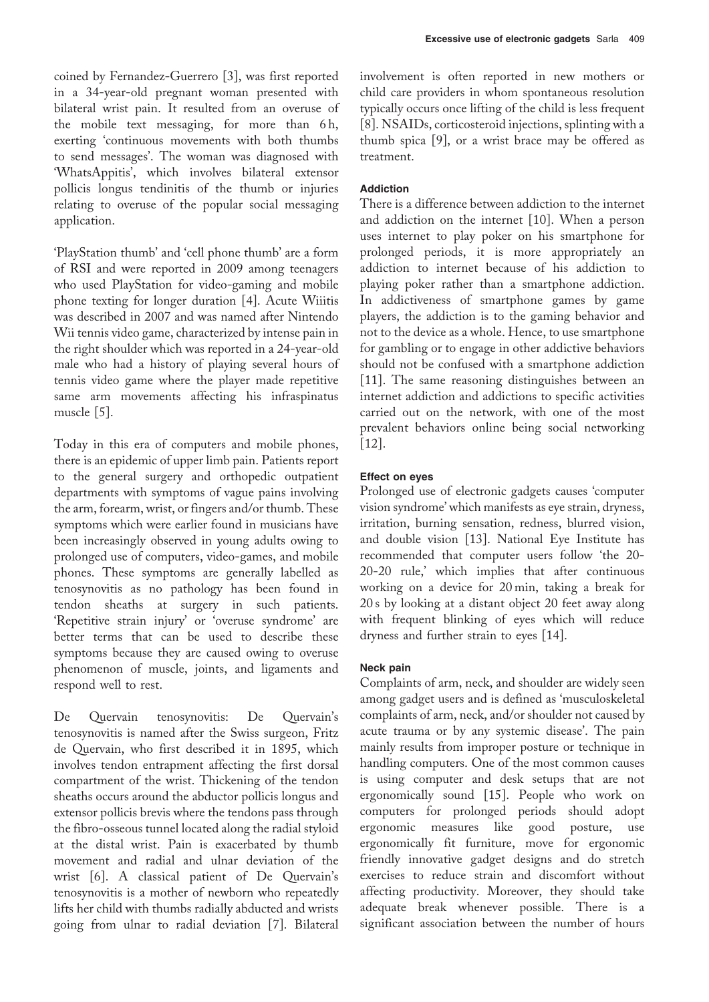coined by Fernandez-Guerrero [3], was first reported in a 34-year-old pregnant woman presented with bilateral wrist pain. It resulted from an overuse of the mobile text messaging, for more than 6 h, exerting 'continuous movements with both thumbs to send messages'. The woman was diagnosed with 'WhatsAppitis', which involves bilateral extensor pollicis longus tendinitis of the thumb or injuries relating to overuse of the popular social messaging application.

'PlayStation thumb' and 'cell phone thumb' are a form of RSI and were reported in 2009 among teenagers who used PlayStation for video-gaming and mobile phone texting for longer duration [4]. Acute Wiiitis was described in 2007 and was named after Nintendo Wii tennis video game, characterized by intense pain in the right shoulder which was reported in a 24-year-old male who had a history of playing several hours of tennis video game where the player made repetitive same arm movements affecting his infraspinatus muscle [5].

Today in this era of computers and mobile phones, there is an epidemic of upper limb pain. Patients report to the general surgery and orthopedic outpatient departments with symptoms of vague pains involving the arm, forearm, wrist, or fingers and/or thumb. These symptoms which were earlier found in musicians have been increasingly observed in young adults owing to prolonged use of computers, video-games, and mobile phones. These symptoms are generally labelled as tenosynovitis as no pathology has been found in tendon sheaths at surgery in such patients. 'Repetitive strain injury' or 'overuse syndrome' are better terms that can be used to describe these symptoms because they are caused owing to overuse phenomenon of muscle, joints, and ligaments and respond well to rest.

De Quervain tenosynovitis: De Quervain's tenosynovitis is named after the Swiss surgeon, Fritz de Quervain, who first described it in 1895, which involves tendon entrapment affecting the first dorsal compartment of the wrist. Thickening of the tendon sheaths occurs around the abductor pollicis longus and extensor pollicis brevis where the tendons pass through the fibro-osseous tunnel located along the radial styloid at the distal wrist. Pain is exacerbated by thumb movement and radial and ulnar deviation of the wrist [6]. A classical patient of De Quervain's tenosynovitis is a mother of newborn who repeatedly lifts her child with thumbs radially abducted and wrists going from ulnar to radial deviation [7]. Bilateral involvement is often reported in new mothers or child care providers in whom spontaneous resolution typically occurs once lifting of the child is less frequent [8]. NSAIDs, corticosteroid injections, splinting with a thumb spica [9], or a wrist brace may be offered as treatment.

# Addiction

There is a difference between addiction to the internet and addiction on the internet [10]. When a person uses internet to play poker on his smartphone for prolonged periods, it is more appropriately an addiction to internet because of his addiction to playing poker rather than a smartphone addiction. In addictiveness of smartphone games by game players, the addiction is to the gaming behavior and not to the device as a whole. Hence, to use smartphone for gambling or to engage in other addictive behaviors should not be confused with a smartphone addiction [11]. The same reasoning distinguishes between an internet addiction and addictions to specific activities carried out on the network, with one of the most prevalent behaviors online being social networking [12].

## Effect on eyes

Prolonged use of electronic gadgets causes 'computer vision syndrome' which manifests as eye strain, dryness, irritation, burning sensation, redness, blurred vision, and double vision [13]. National Eye Institute has recommended that computer users follow 'the 20- 20-20 rule,' which implies that after continuous working on a device for 20 min, taking a break for 20 s by looking at a distant object 20 feet away along with frequent blinking of eyes which will reduce dryness and further strain to eyes [14].

# Neck pain

Complaints of arm, neck, and shoulder are widely seen among gadget users and is defined as 'musculoskeletal complaints of arm, neck, and/or shoulder not caused by acute trauma or by any systemic disease'. The pain mainly results from improper posture or technique in handling computers. One of the most common causes is using computer and desk setups that are not ergonomically sound [15]. People who work on computers for prolonged periods should adopt ergonomic measures like good posture, use ergonomically fit furniture, move for ergonomic friendly innovative gadget designs and do stretch exercises to reduce strain and discomfort without affecting productivity. Moreover, they should take adequate break whenever possible. There is a significant association between the number of hours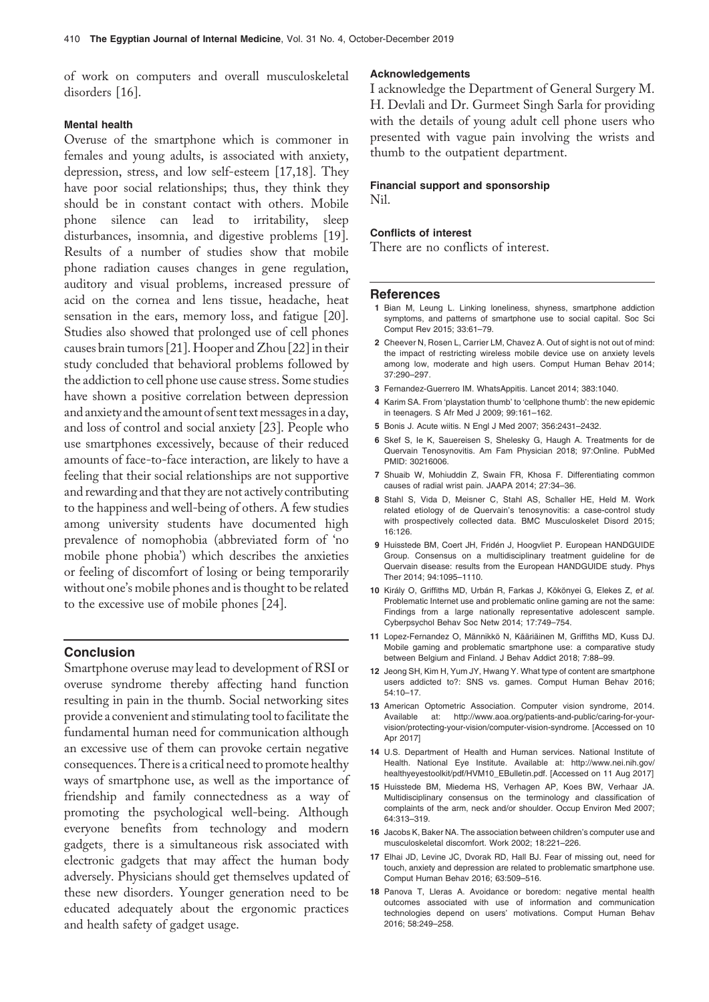of work on computers and overall musculoskeletal disorders [16].

### Mental health

Overuse of the smartphone which is commoner in females and young adults, is associated with anxiety, depression, stress, and low self-esteem [17,18]. They have poor social relationships; thus, they think they should be in constant contact with others. Mobile phone silence can lead to irritability, sleep disturbances, insomnia, and digestive problems [19]. Results of a number of studies show that mobile phone radiation causes changes in gene regulation, auditory and visual problems, increased pressure of acid on the cornea and lens tissue, headache, heat sensation in the ears, memory loss, and fatigue [20]. Studies also showed that prolonged use of cell phones causes brain tumors [21]. Hooper and Zhou [22] in their study concluded that behavioral problems followed by the addiction to cell phone use cause stress. Some studies have shown a positive correlation between depression and anxiety and the amount of sent text messages in a day, and loss of control and social anxiety [23]. People who use smartphones excessively, because of their reduced amounts of face-to-face interaction, are likely to have a feeling that their social relationships are not supportive and rewarding and that they are not actively contributing to the happiness and well-being of others. A few studies among university students have documented high prevalence of nomophobia (abbreviated form of 'no mobile phone phobia') which describes the anxieties or feeling of discomfort of losing or being temporarily without one's mobile phones and is thought to be related to the excessive use of mobile phones [24].

## **Conclusion**

Smartphone overuse may lead to development of RSI or overuse syndrome thereby affecting hand function resulting in pain in the thumb. Social networking sites provide a convenient and stimulating tool to facilitate the fundamental human need for communication although an excessive use of them can provoke certain negative consequences. Thereis a critical need to promote healthy ways of smartphone use, as well as the importance of friendship and family connectedness as a way of promoting the psychological well-being. Although everyone benefits from technology and modern gadgets¸ there is a simultaneous risk associated with electronic gadgets that may affect the human body adversely. Physicians should get themselves updated of these new disorders. Younger generation need to be educated adequately about the ergonomic practices and health safety of gadget usage.

#### Acknowledgements

I acknowledge the Department of General Surgery M. H. Devlali and Dr. Gurmeet Singh Sarla for providing with the details of young adult cell phone users who presented with vague pain involving the wrists and thumb to the outpatient department.

## Financial support and sponsorship

Nil.

#### Conflicts of interest

There are no conflicts of interest.

#### **References**

- 1 Bian M, Leung L. Linking loneliness, shyness, smartphone addiction symptoms, and patterns of smartphone use to social capital. Soc Sci Comput Rev 2015; 33:61–79.
- 2 Cheever N, Rosen L, Carrier LM, Chavez A. Out of sight is not out of mind: the impact of restricting wireless mobile device use on anxiety levels among low, moderate and high users. Comput Human Behav 2014; 37:290–297.
- 3 Fernandez-Guerrero IM. WhatsAppitis. Lancet 2014; 383:1040.
- 4 Karim SA. From 'playstation thumb' to 'cellphone thumb': the new epidemic in teenagers. S Afr Med J 2009; 99:161–162.
- 5 Bonis J. Acute wiitis. N Engl J Med 2007; 356:2431–2432.
- 6 Skef S, Ie K, Sauereisen S, Shelesky G, Haugh A. Treatments for de Quervain Tenosynovitis. Am Fam Physician 2018; 97:Online. PubMed PMID: 30216006.
- 7 Shuaib W, Mohiuddin Z, Swain FR, Khosa F. Differentiating common causes of radial wrist pain. JAAPA 2014; 27:34–36.
- 8 Stahl S, Vida D, Meisner C, Stahl AS, Schaller HE, Held M. Work related etiology of de Quervain's tenosynovitis: a case-control study with prospectively collected data. BMC Musculoskelet Disord 2015; 16:126.
- 9 Huisstede BM, Coert JH, Fridén J, Hoogvliet P. European HANDGUIDE Group. Consensus on a multidisciplinary treatment guideline for de Quervain disease: results from the European HANDGUIDE study. Phys Ther 2014; 94:1095–1110.
- 10 Király O, Griffiths MD, Urbán R, Farkas J, Kökönyei G, Elekes Z, et al. Problematic Internet use and problematic online gaming are not the same: Findings from a large nationally representative adolescent sample. Cyberpsychol Behav Soc Netw 2014; 17:749–754.
- 11 Lopez-Fernandez O, Männikkö N, Kääriäinen M, Griffiths MD, Kuss DJ. Mobile gaming and problematic smartphone use: a comparative study between Belgium and Finland. J Behav Addict 2018; 7:88–99.
- 12 Jeong SH, Kim H, Yum JY, Hwang Y. What type of content are smartphone users addicted to?: SNS vs. games. Comput Human Behav 2016; 54:10–17.
- 13 American Optometric Association. Computer vision syndrome, 2014. Available at: [http://www.aoa.org/patients-and-public/caring-for-your](http://www.aoa.org/patients-and-public/caring-for-your-vision/protecting-your-vision/computer-vision-syndrome)[vision/protecting-your-vision/computer-vision-syndrome](http://www.aoa.org/patients-and-public/caring-for-your-vision/protecting-your-vision/computer-vision-syndrome). [Accessed on 10 Apr 2017]
- 14 U.S. Department of Health and Human services. National Institute of Health. National Eye Institute. Available at: [http://www.nei.nih.gov/](http://www.nei.nih.gov/healthyeyestoolkit/pdf/HVM10_EBulletin.pdf) [healthyeyestoolkit/pdf/HVM10\\_EBulletin.pdf.](http://www.nei.nih.gov/healthyeyestoolkit/pdf/HVM10_EBulletin.pdf) [Accessed on 11 Aug 2017]
- 15 Huisstede BM, Miedema HS, Verhagen AP, Koes BW, Verhaar JA. Multidisciplinary consensus on the terminology and classification of complaints of the arm, neck and/or shoulder. Occup Environ Med 2007; 64:313–319.
- 16 Jacobs K, Baker NA. The association between children's computer use and musculoskeletal discomfort. Work 2002; 18:221–226.
- 17 Elhai JD, Levine JC, Dvorak RD, Hall BJ. Fear of missing out, need for touch, anxiety and depression are related to problematic smartphone use. Comput Human Behav 2016; 63:509–516.
- 18 Panova T, Lleras A. Avoidance or boredom: negative mental health outcomes associated with use of information and communication technologies depend on users' motivations. Comput Human Behav 2016; 58:249–258.